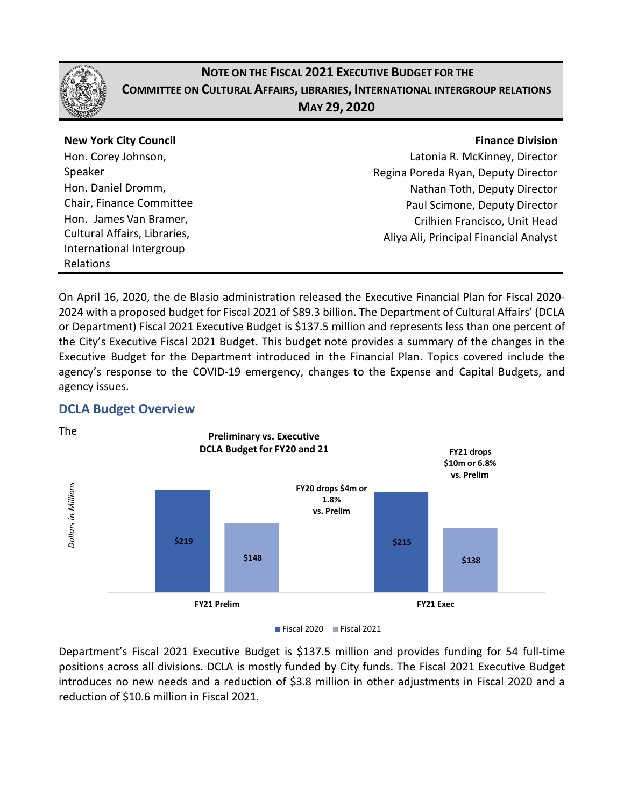

## **NOTE ON THE FISCAL 2021 EXECUTIVE BUDGET FOR THE COMMITTEE ON CULTURAL AFFAIRS, LIBRARIES, INTERNATIONAL INTERGROUP RELATIONS MAY 29, 2020**

| <b>New York City Council</b> | <b>Finance Division</b>                |
|------------------------------|----------------------------------------|
| Hon. Corey Johnson,          | Latonia R. McKinney, Director          |
| Speaker                      | Regina Poreda Ryan, Deputy Director    |
| Hon. Daniel Dromm,           | Nathan Toth, Deputy Director           |
| Chair, Finance Committee     | Paul Scimone, Deputy Director          |
| Hon. James Van Bramer,       | Crilhien Francisco, Unit Head          |
| Cultural Affairs, Libraries, | Aliya Ali, Principal Financial Analyst |
| International Intergroup     |                                        |
| Relations                    |                                        |
|                              |                                        |

On April 16, 2020, the de Blasio administration released the Executive Financial Plan for Fiscal 2020- 2024 with a proposed budget for Fiscal 2021 of \$89.3 billion. The Department of Cultural Affairs' (DCLA or Department) Fiscal 2021 Executive Budget is \$137.5 million and represents less than one percent of the City's Executive Fiscal 2021 Budget. This budget note provides a summary of the changes in the Executive Budget for the Department introduced in the Financial Plan. Topics covered include the agency's response to the COVID-19 emergency, changes to the Expense and Capital Budgets, and agency issues.

### **DCLA Budget Overview**



Department's Fiscal 2021 Executive Budget is \$137.5 million and provides funding for 54 full-time positions across all divisions. DCLA is mostly funded by City funds. The Fiscal 2021 Executive Budget introduces no new needs and a reduction of \$3.8 million in other adjustments in Fiscal 2020 and a reduction of \$10.6 million in Fiscal 2021.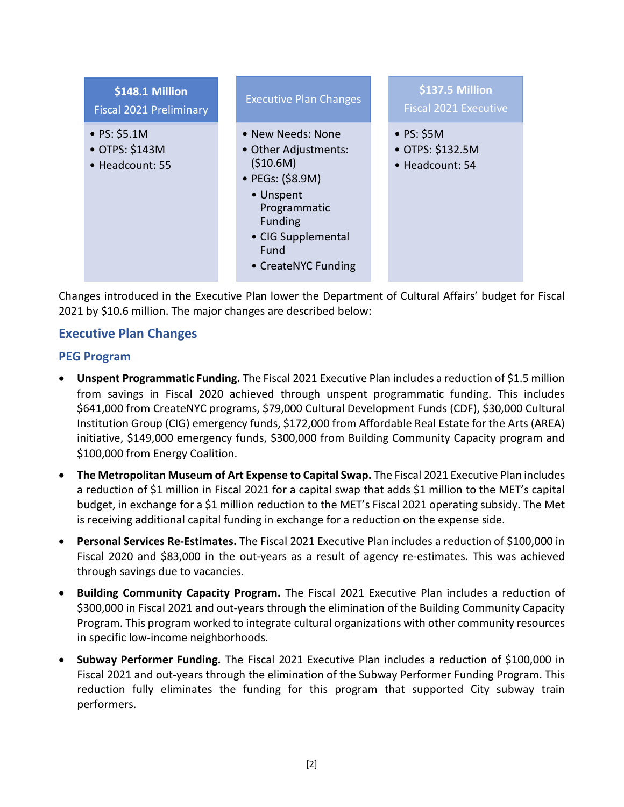

Changes introduced in the Executive Plan lower the Department of Cultural Affairs' budget for Fiscal 2021 by \$10.6 million. The major changes are described below:

### **Executive Plan Changes**

#### **PEG Program**

- **Unspent Programmatic Funding.** The Fiscal 2021 Executive Plan includes a reduction of \$1.5 million from savings in Fiscal 2020 achieved through unspent programmatic funding. This includes \$641,000 from CreateNYC programs, \$79,000 Cultural Development Funds (CDF), \$30,000 Cultural Institution Group (CIG) emergency funds, \$172,000 from Affordable Real Estate for the Arts (AREA) initiative, \$149,000 emergency funds, \$300,000 from Building Community Capacity program and \$100,000 from Energy Coalition.
- **The Metropolitan Museum of Art Expense to Capital Swap.** The Fiscal 2021 Executive Plan includes a reduction of \$1 million in Fiscal 2021 for a capital swap that adds \$1 million to the MET's capital budget, in exchange for a \$1 million reduction to the MET's Fiscal 2021 operating subsidy. The Met is receiving additional capital funding in exchange for a reduction on the expense side.
- **Personal Services Re-Estimates.** The Fiscal 2021 Executive Plan includes a reduction of \$100,000 in Fiscal 2020 and \$83,000 in the out-years as a result of agency re-estimates. This was achieved through savings due to vacancies.
- **Building Community Capacity Program.** The Fiscal 2021 Executive Plan includes a reduction of \$300,000 in Fiscal 2021 and out-years through the elimination of the Building Community Capacity Program. This program worked to integrate cultural organizations with other community resources in specific low-income neighborhoods.
- **Subway Performer Funding.** The Fiscal 2021 Executive Plan includes a reduction of \$100,000 in Fiscal 2021 and out-years through the elimination of the Subway Performer Funding Program. This reduction fully eliminates the funding for this program that supported City subway train performers.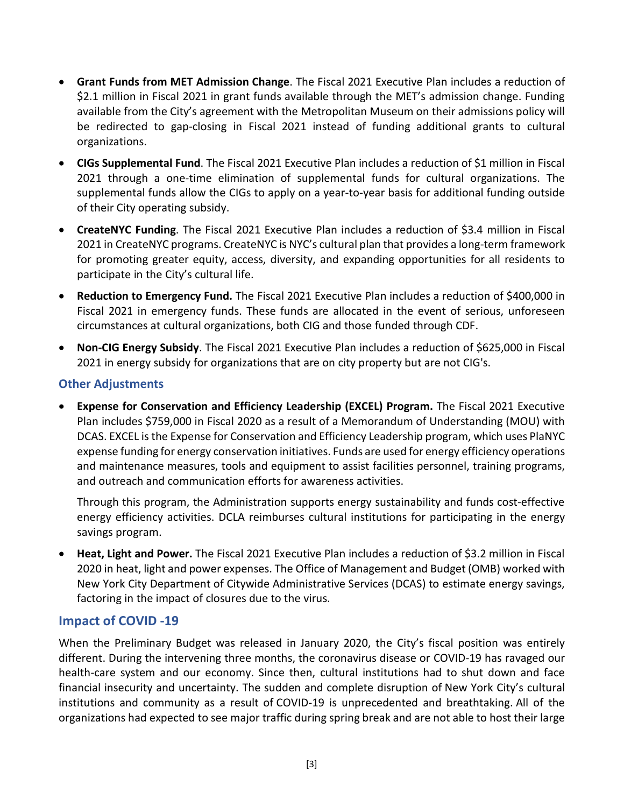- **Grant Funds from MET Admission Change**. The Fiscal 2021 Executive Plan includes a reduction of \$2.1 million in Fiscal 2021 in grant funds available through the MET's admission change. Funding available from the City's agreement with the Metropolitan Museum on their admissions policy will be redirected to gap-closing in Fiscal 2021 instead of funding additional grants to cultural organizations.
- **CIGs Supplemental Fund**. The Fiscal 2021 Executive Plan includes a reduction of \$1 million in Fiscal 2021 through a one-time elimination of supplemental funds for cultural organizations. The supplemental funds allow the CIGs to apply on a year-to-year basis for additional funding outside of their City operating subsidy.
- **CreateNYC Funding**. The Fiscal 2021 Executive Plan includes a reduction of \$3.4 million in Fiscal 2021 in CreateNYC programs. CreateNYC is NYC's cultural plan that provides a long-term framework for promoting greater equity, access, diversity, and expanding opportunities for all residents to participate in the City's cultural life.
- **Reduction to Emergency Fund.** The Fiscal 2021 Executive Plan includes a reduction of \$400,000 in Fiscal 2021 in emergency funds. These funds are allocated in the event of serious, unforeseen circumstances at cultural organizations, both CIG and those funded through CDF.
- **Non-CIG Energy Subsidy**. The Fiscal 2021 Executive Plan includes a reduction of \$625,000 in Fiscal 2021 in energy subsidy for organizations that are on city property but are not CIG's.

### **Other Adjustments**

• **Expense for Conservation and Efficiency Leadership (EXCEL) Program.** The Fiscal 2021 Executive Plan includes \$759,000 in Fiscal 2020 as a result of a Memorandum of Understanding (MOU) with DCAS. EXCEL is the Expense for Conservation and Efficiency Leadership program, which uses PlaNYC expense funding for energy conservation initiatives. Funds are used for energy efficiency operations and maintenance measures, tools and equipment to assist facilities personnel, training programs, and outreach and communication efforts for awareness activities.

Through this program, the Administration supports energy sustainability and funds cost-effective energy efficiency activities. DCLA reimburses cultural institutions for participating in the energy savings program.

• **Heat, Light and Power.** The Fiscal 2021 Executive Plan includes a reduction of \$3.2 million in Fiscal 2020 in heat, light and power expenses. The Office of Management and Budget (OMB) worked with New York City Department of Citywide Administrative Services (DCAS) to estimate energy savings, factoring in the impact of closures due to the virus.

### **Impact of COVID -19**

When the Preliminary Budget was released in January 2020, the City's fiscal position was entirely different. During the intervening three months, the coronavirus disease or COVID-19 has ravaged our health-care system and our economy. Since then, cultural institutions had to shut down and face financial insecurity and uncertainty. The sudden and complete disruption of New York City's cultural institutions and community as a result of COVID-19 is unprecedented and breathtaking. All of the organizations had expected to see major traffic during spring break and are not able to host their large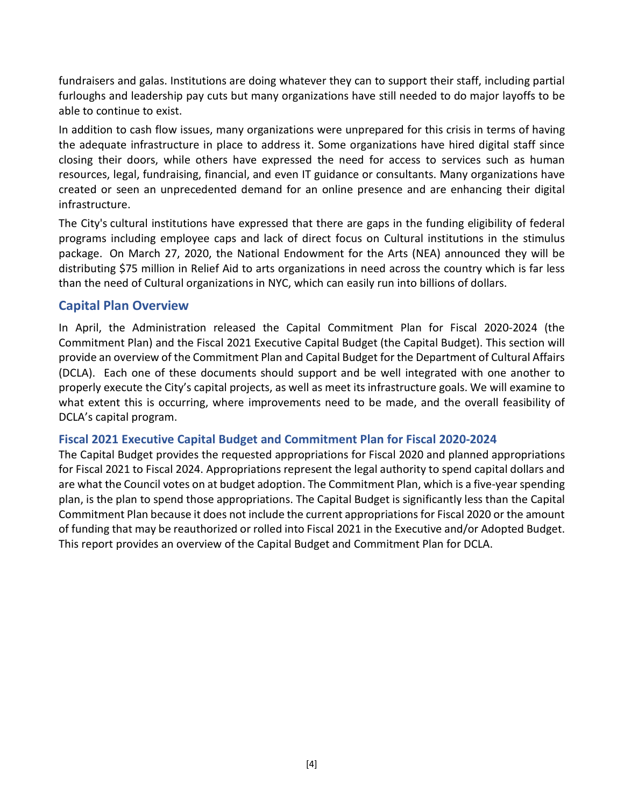fundraisers and galas. Institutions are doing whatever they can to support their staff, including partial furloughs and leadership pay cuts but many organizations have still needed to do major layoffs to be able to continue to exist.

In addition to cash flow issues, many organizations were unprepared for this crisis in terms of having the adequate infrastructure in place to address it. Some organizations have hired digital staff since closing their doors, while others have expressed the need for access to services such as human resources, legal, fundraising, financial, and even IT guidance or consultants. Many organizations have created or seen an unprecedented demand for an online presence and are enhancing their digital infrastructure.

The City's cultural institutions have expressed that there are gaps in the funding eligibility of federal programs including employee caps and lack of direct focus on Cultural institutions in the stimulus package. On March 27, 2020, the National Endowment for the Arts (NEA) announced they will be distributing \$75 million in Relief Aid to arts organizations in need across the country which is far less than the need of Cultural organizations in NYC, which can easily run into billions of dollars.

#### **Capital Plan Overview**

In April, the Administration released the Capital Commitment Plan for Fiscal 2020-2024 (the Commitment Plan) and the Fiscal 2021 Executive Capital Budget (the Capital Budget). This section will provide an overview of the Commitment Plan and Capital Budget for the Department of Cultural Affairs (DCLA). Each one of these documents should support and be well integrated with one another to properly execute the City's capital projects, as well as meet its infrastructure goals. We will examine to what extent this is occurring, where improvements need to be made, and the overall feasibility of DCLA's capital program.

#### **Fiscal 2021 Executive Capital Budget and Commitment Plan for Fiscal 2020-2024**

The Capital Budget provides the requested appropriations for Fiscal 2020 and planned appropriations for Fiscal 2021 to Fiscal 2024. Appropriations represent the legal authority to spend capital dollars and are what the Council votes on at budget adoption. The Commitment Plan, which is a five-year spending plan, is the plan to spend those appropriations. The Capital Budget is significantly less than the Capital Commitment Plan because it does not include the current appropriations for Fiscal 2020 or the amount of funding that may be reauthorized or rolled into Fiscal 2021 in the Executive and/or Adopted Budget. This report provides an overview of the Capital Budget and Commitment Plan for DCLA.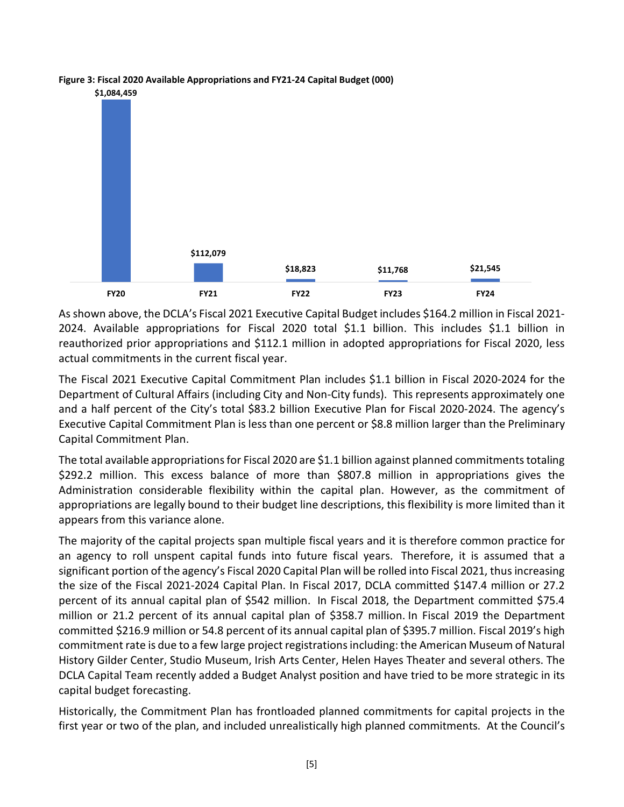

**Figure 3: Fiscal 2020 Available Appropriations and FY21-24 Capital Budget (000)**

As shown above, the DCLA's Fiscal 2021 Executive Capital Budget includes \$164.2 million in Fiscal 2021- 2024. Available appropriations for Fiscal 2020 total \$1.1 billion. This includes \$1.1 billion in reauthorized prior appropriations and \$112.1 million in adopted appropriations for Fiscal 2020, less actual commitments in the current fiscal year.

The Fiscal 2021 Executive Capital Commitment Plan includes \$1.1 billion in Fiscal 2020-2024 for the Department of Cultural Affairs (including City and Non-City funds). This represents approximately one and a half percent of the City's total \$83.2 billion Executive Plan for Fiscal 2020-2024. The agency's Executive Capital Commitment Plan is less than one percent or \$8.8 million larger than the Preliminary Capital Commitment Plan.

The total available appropriations for Fiscal 2020 are \$1.1 billion against planned commitments totaling \$292.2 million. This excess balance of more than \$807.8 million in appropriations gives the Administration considerable flexibility within the capital plan. However, as the commitment of appropriations are legally bound to their budget line descriptions, this flexibility is more limited than it appears from this variance alone.

The majority of the capital projects span multiple fiscal years and it is therefore common practice for an agency to roll unspent capital funds into future fiscal years. Therefore, it is assumed that a significant portion of the agency's Fiscal 2020 Capital Plan will be rolled into Fiscal 2021, thus increasing the size of the Fiscal 2021-2024 Capital Plan. In Fiscal 2017, DCLA committed \$147.4 million or 27.2 percent of its annual capital plan of \$542 million. In Fiscal 2018, the Department committed \$75.4 million or 21.2 percent of its annual capital plan of \$358.7 million. In Fiscal 2019 the Department committed \$216.9 million or 54.8 percent of its annual capital plan of \$395.7 million. Fiscal 2019's high commitment rate is due to a few large project registrations including: the American Museum of Natural History Gilder Center, Studio Museum, Irish Arts Center, Helen Hayes Theater and several others. The DCLA Capital Team recently added a Budget Analyst position and have tried to be more strategic in its capital budget forecasting.

Historically, the Commitment Plan has frontloaded planned commitments for capital projects in the first year or two of the plan, and included unrealistically high planned commitments. At the Council's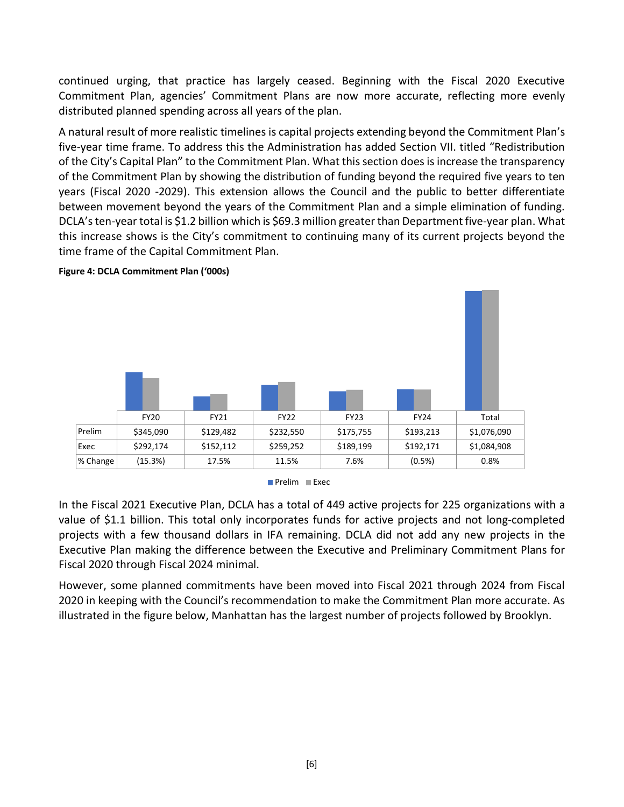continued urging, that practice has largely ceased. Beginning with the Fiscal 2020 Executive Commitment Plan, agencies' Commitment Plans are now more accurate, reflecting more evenly distributed planned spending across all years of the plan.

A natural result of more realistic timelines is capital projects extending beyond the Commitment Plan's five-year time frame. To address this the Administration has added Section VII. titled "Redistribution of the City's Capital Plan" to the Commitment Plan. What this section does is increase the transparency of the Commitment Plan by showing the distribution of funding beyond the required five years to ten years (Fiscal 2020 -2029). This extension allows the Council and the public to better differentiate between movement beyond the years of the Commitment Plan and a simple elimination of funding. DCLA's ten-year total is \$1.2 billion which is \$69.3 million greater than Department five-year plan. What this increase shows is the City's commitment to continuing many of its current projects beyond the time frame of the Capital Commitment Plan.



**Figure 4: DCLA Commitment Plan ('000s)**



In the Fiscal 2021 Executive Plan, DCLA has a total of 449 active projects for 225 organizations with a value of \$1.1 billion. This total only incorporates funds for active projects and not long-completed projects with a few thousand dollars in IFA remaining. DCLA did not add any new projects in the Executive Plan making the difference between the Executive and Preliminary Commitment Plans for Fiscal 2020 through Fiscal 2024 minimal.

However, some planned commitments have been moved into Fiscal 2021 through 2024 from Fiscal 2020 in keeping with the Council's recommendation to make the Commitment Plan more accurate. As illustrated in the figure below, Manhattan has the largest number of projects followed by Brooklyn.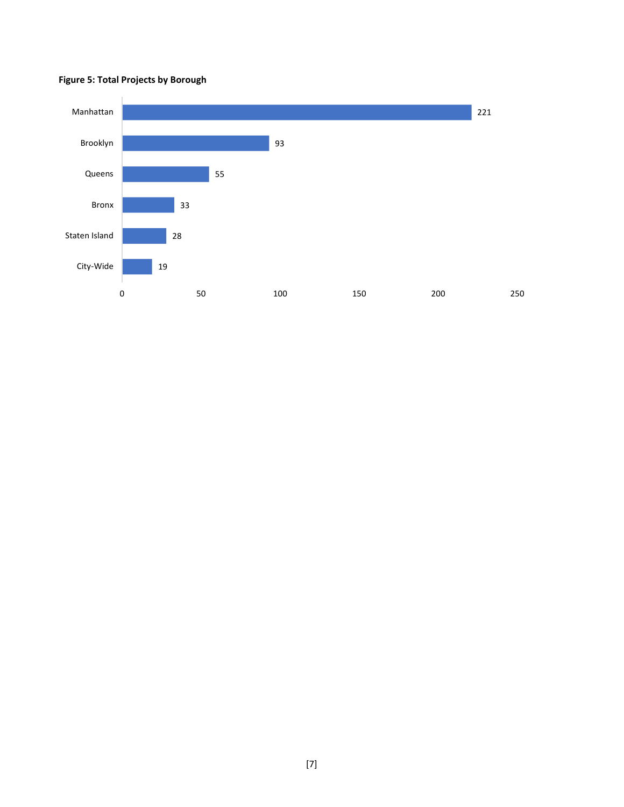#### **Figure 5: Total Projects by Borough**

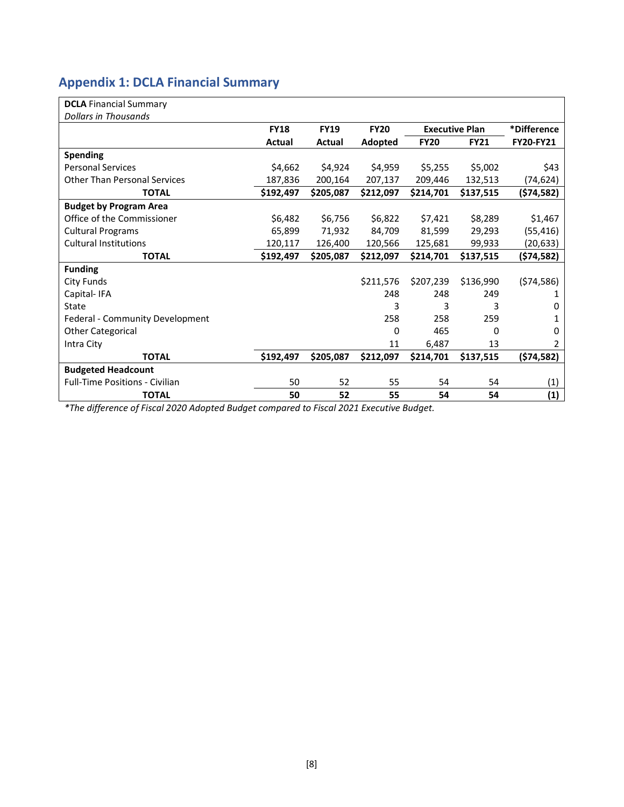# **Appendix 1: DCLA Financial Summary**

| <b>DCLA</b> Financial Summary         |             |             |             |             |                       |                  |
|---------------------------------------|-------------|-------------|-------------|-------------|-----------------------|------------------|
| <b>Dollars in Thousands</b>           |             |             |             |             |                       |                  |
|                                       | <b>FY18</b> | <b>FY19</b> | <b>FY20</b> |             | <b>Executive Plan</b> | *Difference      |
|                                       | Actual      | Actual      | Adopted     | <b>FY20</b> | <b>FY21</b>           | <b>FY20-FY21</b> |
| <b>Spending</b>                       |             |             |             |             |                       |                  |
| <b>Personal Services</b>              | \$4,662     | \$4,924     | \$4,959     | \$5,255     | \$5,002               | \$43             |
| <b>Other Than Personal Services</b>   | 187,836     | 200,164     | 207,137     | 209,446     | 132,513               | (74, 624)        |
| <b>TOTAL</b>                          | \$192,497   | \$205,087   | \$212,097   | \$214,701   | \$137,515             | (\$74,582)       |
| <b>Budget by Program Area</b>         |             |             |             |             |                       |                  |
| Office of the Commissioner            | \$6,482     | \$6,756     | \$6,822     | \$7,421     | \$8,289               | \$1,467          |
| <b>Cultural Programs</b>              | 65,899      | 71,932      | 84,709      | 81,599      | 29,293                | (55, 416)        |
| <b>Cultural Institutions</b>          | 120,117     | 126,400     | 120,566     | 125,681     | 99,933                | (20, 633)        |
| <b>TOTAL</b>                          | \$192,497   | \$205,087   | \$212,097   | \$214,701   | \$137,515             | (\$74,582)       |
| <b>Funding</b>                        |             |             |             |             |                       |                  |
| City Funds                            |             |             | \$211,576   | \$207,239   | \$136,990             | (574, 586)       |
| Capital-IFA                           |             |             | 248         | 248         | 249                   | 1                |
| State                                 |             |             | 3           | 3           | 3                     | 0                |
| Federal - Community Development       |             |             | 258         | 258         | 259                   | 1                |
| <b>Other Categorical</b>              |             |             | 0           | 465         | $\Omega$              | 0                |
| Intra City                            |             |             | 11          | 6,487       | 13                    | 2                |
| <b>TOTAL</b>                          | \$192,497   | \$205,087   | \$212,097   | \$214,701   | \$137,515             | (574, 582)       |
| <b>Budgeted Headcount</b>             |             |             |             |             |                       |                  |
| <b>Full-Time Positions - Civilian</b> | 50          | 52          | 55          | 54          | 54                    | (1)              |
| <b>TOTAL</b>                          | 50          | 52          | 55          | 54          | 54                    | (1)              |

*\*The difference of Fiscal 2020 Adopted Budget compared to Fiscal 2021 Executive Budget.*